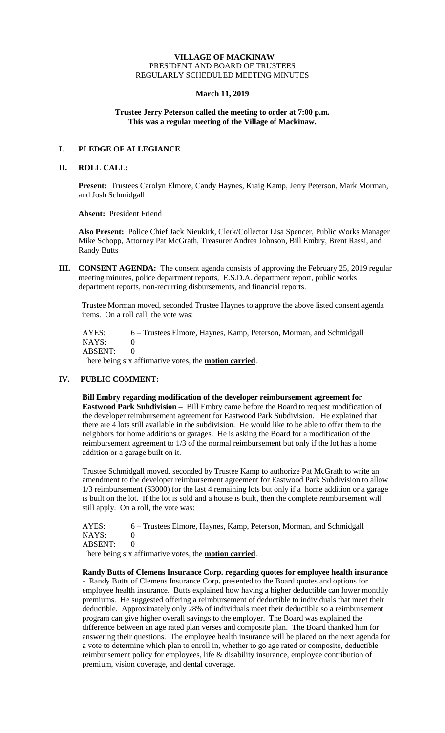## **VILLAGE OF MACKINAW** PRESIDENT AND BOARD OF TRUSTEES REGULARLY SCHEDULED MEETING MINUTES

## **March 11, 2019**

## **Trustee Jerry Peterson called the meeting to order at 7:00 p.m. This was a regular meeting of the Village of Mackinaw.**

# **I. PLEDGE OF ALLEGIANCE**

## **II. ROLL CALL:**

**Present:** Trustees Carolyn Elmore, Candy Haynes, Kraig Kamp, Jerry Peterson, Mark Morman, and Josh Schmidgall

**Absent:** President Friend

**Also Present:** Police Chief Jack Nieukirk, Clerk/Collector Lisa Spencer, Public Works Manager Mike Schopp, Attorney Pat McGrath, Treasurer Andrea Johnson, Bill Embry, Brent Rassi, and Randy Butts

**III. CONSENT AGENDA:** The consent agenda consists of approving the February 25, 2019 regular meeting minutes, police department reports, E.S.D.A. department report, public works department reports, non-recurring disbursements, and financial reports.

Trustee Morman moved, seconded Trustee Haynes to approve the above listed consent agenda items. On a roll call, the vote was:

 AYES: 6 – Trustees Elmore, Haynes, Kamp, Peterson, Morman, and Schmidgall NAYS: 0 ABSENT: 0 There being six affirmative votes, the **motion carried**.

# **IV. PUBLIC COMMENT:**

**Bill Embry regarding modification of the developer reimbursement agreement for Eastwood Park Subdivision –** Bill Embry came before the Board to request modification of the developer reimbursement agreement for Eastwood Park Subdivision. He explained that there are 4 lots still available in the subdivision. He would like to be able to offer them to the neighbors for home additions or garages. He is asking the Board for a modification of the reimbursement agreement to 1/3 of the normal reimbursement but only if the lot has a home addition or a garage built on it.

Trustee Schmidgall moved, seconded by Trustee Kamp to authorize Pat McGrath to write an amendment to the developer reimbursement agreement for Eastwood Park Subdivision to allow 1/3 reimbursement (\$3000) for the last 4 remaining lots but only if a home addition or a garage is built on the lot. If the lot is sold and a house is built, then the complete reimbursement will still apply. On a roll, the vote was:

AYES: 6 – Trustees Elmore, Haynes, Kamp, Peterson, Morman, and Schmidgall NAYS: 0 ABSENT: 0

There being six affirmative votes, the **motion carried**.

**Randy Butts of Clemens Insurance Corp. regarding quotes for employee health insurance -** Randy Butts of Clemens Insurance Corp. presented to the Board quotes and options for employee health insurance. Butts explained how having a higher deductible can lower monthly premiums. He suggested offering a reimbursement of deductible to individuals that meet their deductible. Approximately only 28% of individuals meet their deductible so a reimbursement program can give higher overall savings to the employer. The Board was explained the difference between an age rated plan verses and composite plan. The Board thanked him for answering their questions. The employee health insurance will be placed on the next agenda for a vote to determine which plan to enroll in, whether to go age rated or composite, deductible reimbursement policy for employees, life & disability insurance, employee contribution of premium, vision coverage, and dental coverage.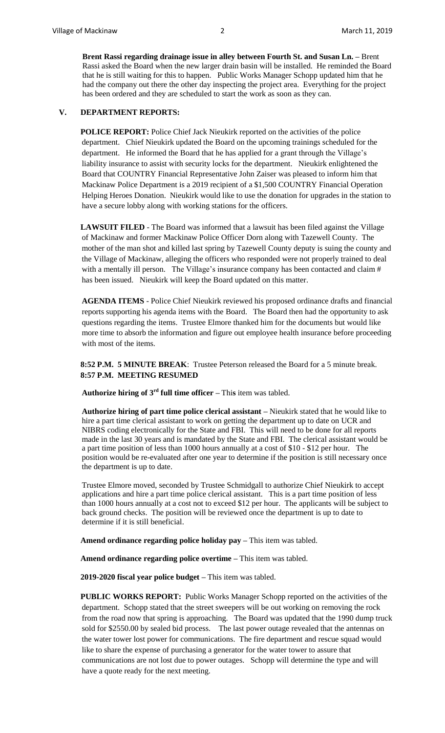**Brent Rassi regarding drainage issue in alley between Fourth St. and Susan Ln. –** Brent Rassi asked the Board when the new larger drain basin will be installed. He reminded the Board that he is still waiting for this to happen. Public Works Manager Schopp updated him that he had the company out there the other day inspecting the project area. Everything for the project has been ordered and they are scheduled to start the work as soon as they can.

## **V. DEPARTMENT REPORTS:**

**POLICE REPORT:** Police Chief Jack Nieukirk reported on the activities of the police department. Chief Nieukirk updated the Board on the upcoming trainings scheduled for the department. He informed the Board that he has applied for a grant through the Village's liability insurance to assist with security locks for the department. Nieukirk enlightened the Board that COUNTRY Financial Representative John Zaiser was pleased to inform him that Mackinaw Police Department is a 2019 recipient of a \$1,500 COUNTRY Financial Operation Helping Heroes Donation. Nieukirk would like to use the donation for upgrades in the station to have a secure lobby along with working stations for the officers.

LAWSUIT FILED - The Board was informed that a lawsuit has been filed against the Village of Mackinaw and former Mackinaw Police Officer Dorn along with Tazewell County. The mother of the man shot and killed last spring by Tazewell County deputy is suing the county and the Village of Mackinaw, alleging the officers who responded were not properly trained to deal with a mentally ill person. The Village's insurance company has been contacted and claim # has been issued. Nieukirk will keep the Board updated on this matter.

**AGENDA ITEMS** - Police Chief Nieukirk reviewed his proposed ordinance drafts and financial reports supporting his agenda items with the Board. The Board then had the opportunity to ask questions regarding the items. Trustee Elmore thanked him for the documents but would like more time to absorb the information and figure out employee health insurance before proceeding with most of the items.

**8:52 P.M. 5 MINUTE BREAK**: Trustee Peterson released the Board for a 5 minute break. **8:57 P.M. MEETING RESUMED** 

**Authorize hiring of**  $3^{rd}$  **full time officer – This item was tabled.** 

**Authorize hiring of part time police clerical assistant –** Nieukirk stated that he would like to hire a part time clerical assistant to work on getting the department up to date on UCR and NIBRS coding electronically for the State and FBI. This will need to be done for all reports made in the last 30 years and is mandated by the State and FBI. The clerical assistant would be a part time position of less than 1000 hours annually at a cost of \$10 - \$12 per hour. The position would be re-evaluated after one year to determine if the position is still necessary once the department is up to date.

Trustee Elmore moved, seconded by Trustee Schmidgall to authorize Chief Nieukirk to accept applications and hire a part time police clerical assistant. This is a part time position of less than 1000 hours annually at a cost not to exceed \$12 per hour. The applicants will be subject to back ground checks. The position will be reviewed once the department is up to date to determine if it is still beneficial.

**Amend ordinance regarding police holiday pay –** This item was tabled.

**Amend ordinance regarding police overtime –** This item was tabled.

**2019-2020 fiscal year police budget –** This item was tabled.

**PUBLIC WORKS REPORT:** Public Works Manager Schopp reported on the activities of the department. Schopp stated that the street sweepers will be out working on removing the rock from the road now that spring is approaching. The Board was updated that the 1990 dump truck sold for \$2550.00 by sealed bid process. The last power outage revealed that the antennas on the water tower lost power for communications. The fire department and rescue squad would like to share the expense of purchasing a generator for the water tower to assure that communications are not lost due to power outages. Schopp will determine the type and will have a quote ready for the next meeting.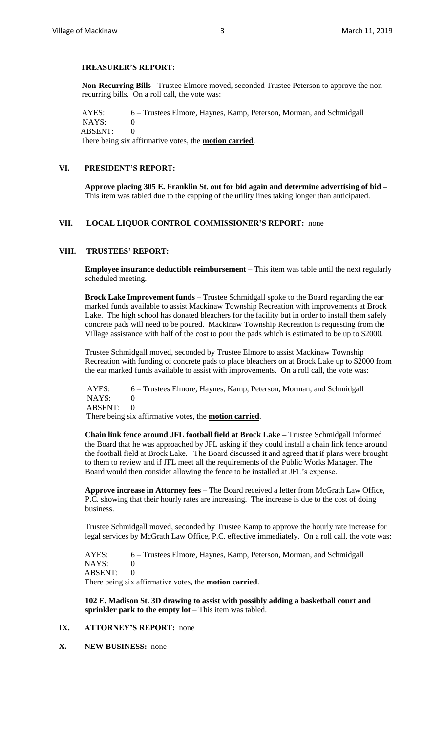#### **TREASURER'S REPORT:**

**Non-Recurring Bills -** Trustee Elmore moved, seconded Trustee Peterson to approve the nonrecurring bills. On a roll call, the vote was:

AYES: 6 – Trustees Elmore, Haynes, Kamp, Peterson, Morman, and Schmidgall NAYS: 0 ABSENT: 0 There being six affirmative votes, the **motion carried**.

# **VI. PRESIDENT'S REPORT:**

**Approve placing 305 E. Franklin St. out for bid again and determine advertising of bid –** This item was tabled due to the capping of the utility lines taking longer than anticipated.

## **VII. LOCAL LIQUOR CONTROL COMMISSIONER'S REPORT:** none

# **VIII. TRUSTEES' REPORT:**

**Employee insurance deductible reimbursement –** This item was table until the next regularly scheduled meeting.

**Brock Lake Improvement funds –** Trustee Schmidgall spoke to the Board regarding the ear marked funds available to assist Mackinaw Township Recreation with improvements at Brock Lake. The high school has donated bleachers for the facility but in order to install them safely concrete pads will need to be poured. Mackinaw Township Recreation is requesting from the Village assistance with half of the cost to pour the pads which is estimated to be up to \$2000.

Trustee Schmidgall moved, seconded by Trustee Elmore to assist Mackinaw Township Recreation with funding of concrete pads to place bleachers on at Brock Lake up to \$2000 from the ear marked funds available to assist with improvements. On a roll call, the vote was:

AYES: 6 – Trustees Elmore, Haynes, Kamp, Peterson, Morman, and Schmidgall NAYS: 0 ABSENT: 0 There being six affirmative votes, the **motion carried**.

**Chain link fence around JFL football field at Brock Lake –** Trustee Schmidgall informed the Board that he was approached by JFL asking if they could install a chain link fence around the football field at Brock Lake. The Board discussed it and agreed that if plans were brought to them to review and if JFL meet all the requirements of the Public Works Manager. The Board would then consider allowing the fence to be installed at JFL's expense.

**Approve increase in Attorney fees –** The Board received a letter from McGrath Law Office, P.C. showing that their hourly rates are increasing. The increase is due to the cost of doing business.

Trustee Schmidgall moved, seconded by Trustee Kamp to approve the hourly rate increase for legal services by McGrath Law Office, P.C. effective immediately. On a roll call, the vote was:

AYES: 6 – Trustees Elmore, Haynes, Kamp, Peterson, Morman, and Schmidgall NAYS: 0 ABSENT: 0

There being six affirmative votes, the **motion carried**.

**102 E. Madison St. 3D drawing to assist with possibly adding a basketball court and sprinkler park to the empty lot** – This item was tabled.

### **IX. ATTORNEY'S REPORT:** none

**X. NEW BUSINESS:** none